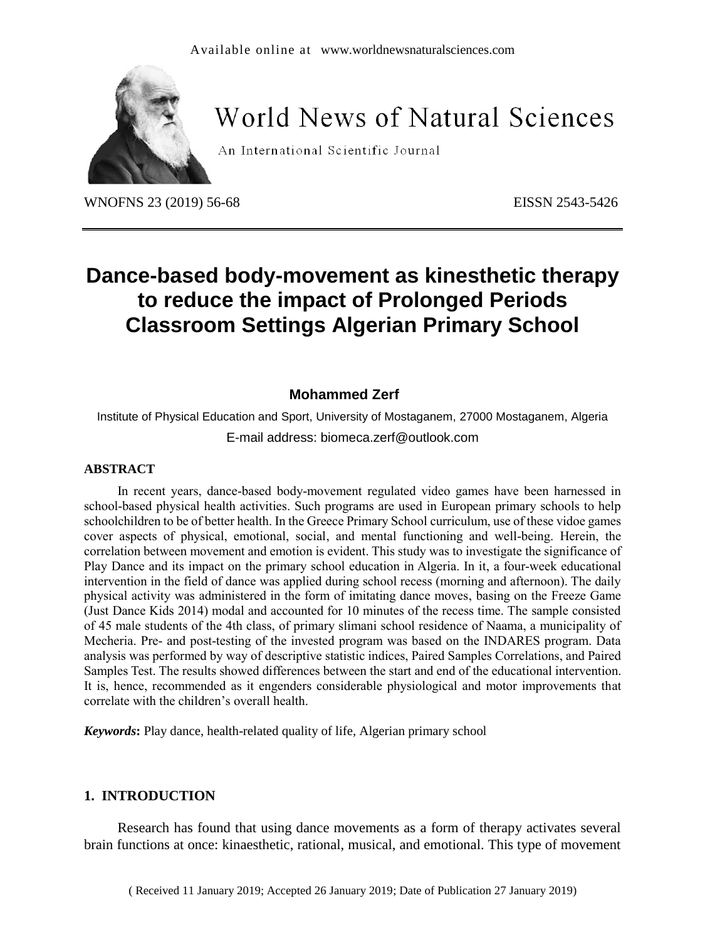

# **World News of Natural Sciences**

An International Scientific Journal

WNOFNS 23 (2019) 56-68 EISSN 2543-5426

# **Dance-based body-movement as kinesthetic therapy to reduce the impact of Prolonged Periods Classroom Settings Algerian Primary School**

# **Mohammed Zerf**

Institute of Physical Education and Sport, University of Mostaganem, 27000 Mostaganem, Algeria E-mail address: biomeca.zerf@outlook.com

#### **ABSTRACT**

In recent years, dance-based body-movement regulated video games have been harnessed in school-based physical health activities. Such programs are used in European primary schools to help schoolchildren to be of better health. In the Greece Primary School curriculum, use of these vidoe games cover aspects of physical, emotional, social, and mental functioning and well-being. Herein, the correlation between movement and emotion is evident. This study was to investigate the significance of Play Dance and its impact on the primary school education in Algeria. In it, a four-week educational intervention in the field of dance was applied during school recess (morning and afternoon). The daily physical activity was administered in the form of imitating dance moves, basing on the Freeze Game (Just Dance Kids 2014) modal and accounted for 10 minutes of the recess time. The sample consisted of 45 male students of the 4th class, of primary slimani school residence of Naama, a municipality of Mecheria. Pre- and post-testing of the invested program was based on the INDARES program. Data analysis was performed by way of descriptive statistic indices, Paired Samples Correlations, and Paired Samples Test. The results showed differences between the start and end of the educational intervention. It is, hence, recommended as it engenders considerable physiological and motor improvements that correlate with the children's overall health.

*Keywords***:** Play dance, health-related quality of life, Algerian primary school

### **1. INTRODUCTION**

Research has found that using dance movements as a form of therapy activates several brain functions at once: kinaesthetic, rational, musical, and emotional. This type of movement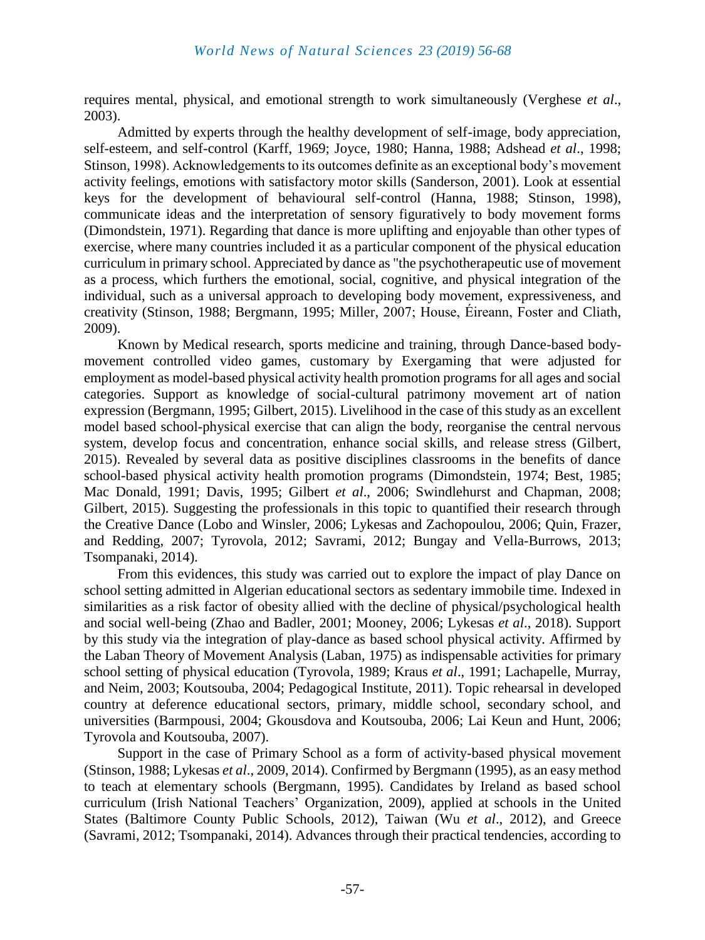requires mental, physical, and emotional strength to work simultaneously (Verghese *et al*., 2003).

Admitted by experts through the healthy development of self-image, body appreciation, self-esteem, and self-control (Karff, 1969; Joyce, 1980; Hanna, 1988; Adshead *et al*., 1998; Stinson, 1998). Acknowledgements to its outcomes definite as an exceptional body's movement activity feelings, emotions with satisfactory motor skills (Sanderson, 2001). Look at essential keys for the development of behavioural self-control (Hanna, 1988; Stinson, 1998), communicate ideas and the interpretation of sensory figuratively to body movement forms (Dimondstein, 1971). Regarding that dance is more uplifting and enjoyable than other types of exercise, where many countries included it as a particular component of the physical education curriculum in primary school. Appreciated by dance as "the psychotherapeutic use of movement as a process, which furthers the emotional, social, cognitive, and physical integration of the individual, such as a universal approach to developing body movement, expressiveness, and creativity (Stinson, 1988; Bergmann, 1995; Miller, 2007; House, Éireann, Foster and Cliath, 2009).

Known by Medical research, sports medicine and training, through Dance-based bodymovement controlled video games, customary by Exergaming that were adjusted for employment as model-based physical activity health promotion programs for all ages and social categories. Support as knowledge of social-cultural patrimony movement art of nation expression (Bergmann, 1995; Gilbert, 2015). Livelihood in the case of this study as an excellent model based school-physical exercise that can align the body, reorganise the central nervous system, develop focus and concentration, enhance social skills, and release stress (Gilbert, 2015). Revealed by several data as positive disciplines classrooms in the benefits of dance school-based physical activity health promotion programs (Dimondstein, 1974; Best, 1985; Mac Donald, 1991; Davis, 1995; Gilbert *et al*., 2006; Swindlehurst and Chapman, 2008; Gilbert, 2015). Suggesting the professionals in this topic to quantified their research through the Creative Dance (Lobo and Winsler, 2006; Lykesas and Zachopoulou, 2006; Quin, Frazer, and Redding, 2007; Tyrovola, 2012; Savrami, 2012; Bungay and Vella-Burrows, 2013; Tsompanaki, 2014).

From this evidences, this study was carried out to explore the impact of play Dance on school setting admitted in Algerian educational sectors as sedentary immobile time. Indexed in similarities as a risk factor of obesity allied with the decline of physical/psychological health and social well-being (Zhao and Badler, 2001; Mooney, 2006; Lykesas *et al*., 2018). Support by this study via the integration of play-dance as based school physical activity. Affirmed by the Laban Theory of Movement Analysis (Laban, 1975) as indispensable activities for primary school setting of physical education (Tyrovola, 1989; Kraus *et al*., 1991; Lachapelle, Murray, and Neim, 2003; Koutsouba, 2004; Pedagogical Institute, 2011). Topic rehearsal in developed country at deference educational sectors, primary, middle school, secondary school, and universities (Barmpousi, 2004; Gkousdova and Koutsouba, 2006; Lai Keun and Hunt, 2006; Tyrovola and Koutsouba, 2007).

Support in the case of Primary School as a form of activity-based physical movement (Stinson, 1988; Lykesas *et al*., 2009, 2014). Confirmed by Bergmann (1995), as an easy method to teach at elementary schools (Bergmann, 1995). Candidates by Ireland as based school curriculum (Irish National Teachers' Organization, 2009), applied at schools in the United States (Baltimore County Public Schools, 2012), Taiwan (Wu *et al*., 2012), and Greece (Savrami, 2012; Tsompanaki, 2014). Advances through their practical tendencies, according to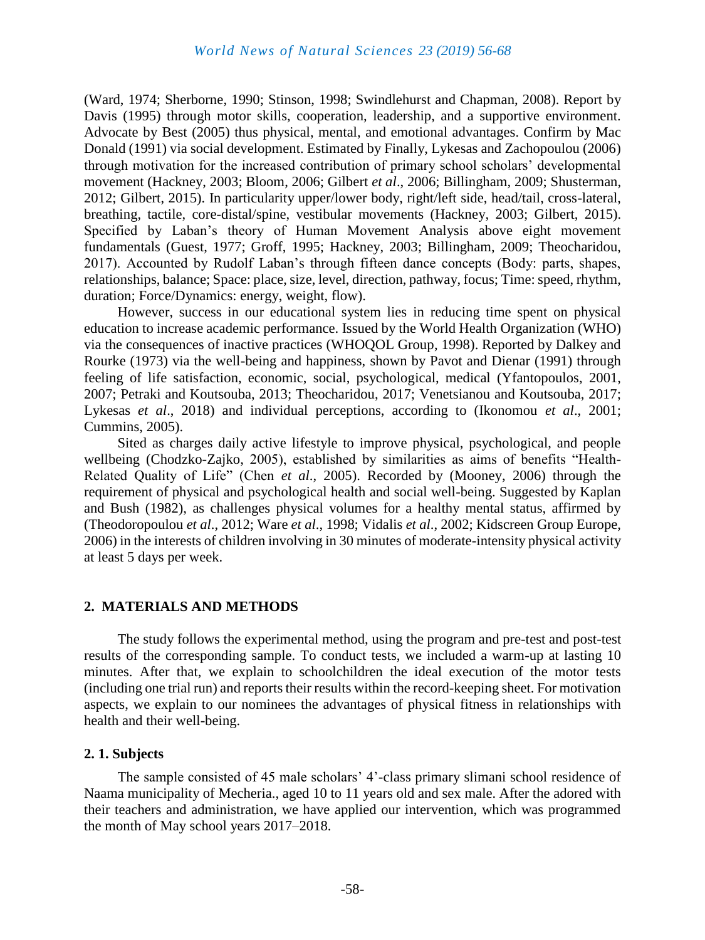(Ward, 1974; Sherborne, 1990; Stinson, 1998; Swindlehurst and Chapman, 2008). Report by Davis (1995) through motor skills, cooperation, leadership, and a supportive environment. Advocate by Best (2005) thus physical, mental, and emotional advantages. Confirm by Mac Donald (1991) via social development. Estimated by Finally, Lykesas and Zachopoulou (2006) through motivation for the increased contribution of primary school scholars' developmental movement (Hackney, 2003; Bloom, 2006; Gilbert *et al*., 2006; Billingham, 2009; Shusterman, 2012; Gilbert, 2015). In particularity upper/lower body, right/left side, head/tail, cross-lateral, breathing, tactile, core-distal/spine, vestibular movements (Hackney, 2003; Gilbert, 2015). Specified by Laban's theory of Human Movement Analysis above eight movement fundamentals (Guest, 1977; Groff, 1995; Hackney, 2003; Billingham, 2009; Theocharidou, 2017). Accounted by Rudolf Laban's through fifteen dance concepts (Body: parts, shapes, relationships, balance; Space: place, size, level, direction, pathway, focus; Time: speed, rhythm, duration; Force/Dynamics: energy, weight, flow).

However, success in our educational system lies in reducing time spent on physical education to increase academic performance. Issued by the World Health Organization (WHO) via the consequences of inactive practices (WHOQOL Group, 1998). Reported by Dalkey and Rourke (1973) via the well-being and happiness, shown by Pavot and Dienar (1991) through feeling of life satisfaction, economic, social, psychological, medical (Yfantopoulos, 2001, 2007; Petraki and Koutsouba, 2013; Theocharidou, 2017; Venetsianou and Koutsouba, 2017; Lykesas *et al*., 2018) and individual perceptions, according to (Ikonomou *et al*., 2001; Cummins, 2005).

Sited as charges daily active lifestyle to improve physical, psychological, and people wellbeing (Chodzko-Zajko, 2005), established by similarities as aims of benefits "Health-Related Quality of Life" (Chen *et al*., 2005). Recorded by (Mooney, 2006) through the requirement of physical and psychological health and social well-being. Suggested by Kaplan and Bush (1982), as challenges physical volumes for a healthy mental status, affirmed by (Theodoropoulou *et al*., 2012; Ware *et al*., 1998; Vidalis *et al*., 2002; Kidscreen Group Europe, 2006) in the interests of children involving in 30 minutes of moderate-intensity physical activity at least 5 days per week.

### **2. MATERIALS AND METHODS**

The study follows the experimental method, using the program and pre-test and post-test results of the corresponding sample. To conduct tests, we included a warm-up at lasting 10 minutes. After that, we explain to schoolchildren the ideal execution of the motor tests (including one trial run) and reports their results within the record-keeping sheet. For motivation aspects, we explain to our nominees the advantages of physical fitness in relationships with health and their well-being.

### **2. 1. Subjects**

The sample consisted of 45 male scholars' 4'-class primary slimani school residence of Naama municipality of Mecheria., aged 10 to 11 years old and sex male. After the adored with their teachers and administration, we have applied our intervention, which was programmed the month of May school years 2017–2018.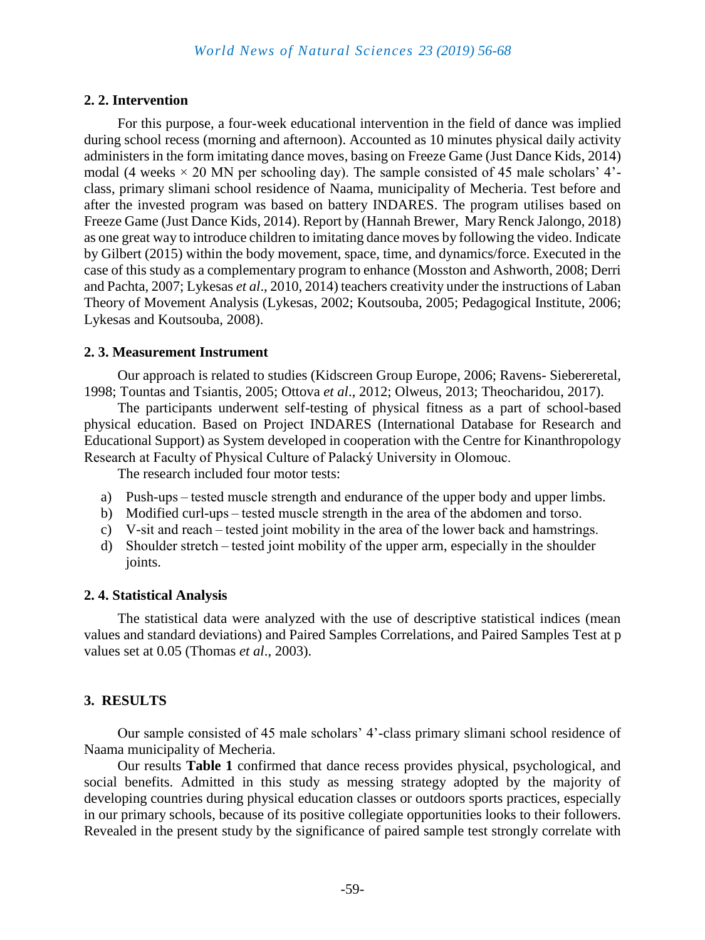# **2. 2. Intervention**

For this purpose, a four-week educational intervention in the field of dance was implied during school recess (morning and afternoon). Accounted as 10 minutes physical daily activity administers in the form imitating dance moves, basing on Freeze Game (Just Dance Kids, 2014) modal (4 weeks  $\times$  20 MN per schooling day). The sample consisted of 45 male scholars' 4'class, primary slimani school residence of Naama, municipality of Mecheria. Test before and after the invested program was based on battery INDARES. The program utilises based on Freeze Game (Just Dance Kids, 2014). Report by (Hannah Brewer, Mary Renck Jalongo, 2018) as one great way to introduce children to imitating dance moves by following the video. Indicate by Gilbert (2015) within the body movement, space, time, and dynamics/force. Executed in the case of this study as a complementary program to enhance (Mosston and Ashworth, 2008; Derri and Pachta, 2007; Lykesas *et al*., 2010, 2014) teachers creativity under the instructions of Laban Theory of Movement Analysis (Lykesas, 2002; Koutsouba, 2005; Pedagogical Institute, 2006; Lykesas and Koutsouba, 2008).

# **2. 3. Measurement Instrument**

Our approach is related to studies (Kidscreen Group Europe, 2006; Ravens- Siebereretal, 1998; Τountas and Τsiantis, 2005; Ottova *et al*., 2012; Olweus, 2013; Theocharidou, 2017).

The participants underwent self-testing of physical fitness as a part of school-based physical education. Based on Project INDARES (International Database for Research and Educational Support) as System developed in cooperation with the Centre for Kinanthropology Research at Faculty of Physical Culture of Palacký University in Olomouc.

The research included four motor tests:

- a) Push-ups – tested muscle strength and endurance of the upper body and upper limbs.
- b) Modified curl-ups – tested muscle strength in the area of the abdomen and torso.
- c) V-sit and reach – tested joint mobility in the area of the lower back and hamstrings.
- d) Shoulder stretch – tested joint mobility of the upper arm, especially in the shoulder joints.

# **2. 4. Statistical Analysis**

The statistical data were analyzed with the use of descriptive statistical indices (mean values and standard deviations) and Paired Samples Correlations, and Paired Samples Test at p values set at 0.05 (Thomas *et al*., 2003).

# **3. RESULTS**

Our sample consisted of 45 male scholars' 4'-class primary slimani school residence of Naama municipality of Mecheria.

Our results **Table 1** confirmed that dance recess provides physical, psychological, and social benefits. Admitted in this study as messing strategy adopted by the majority of developing countries during physical education classes or outdoors sports practices, especially in our primary schools, because of its positive collegiate opportunities looks to their followers. Revealed in the present study by the significance of paired sample test strongly correlate with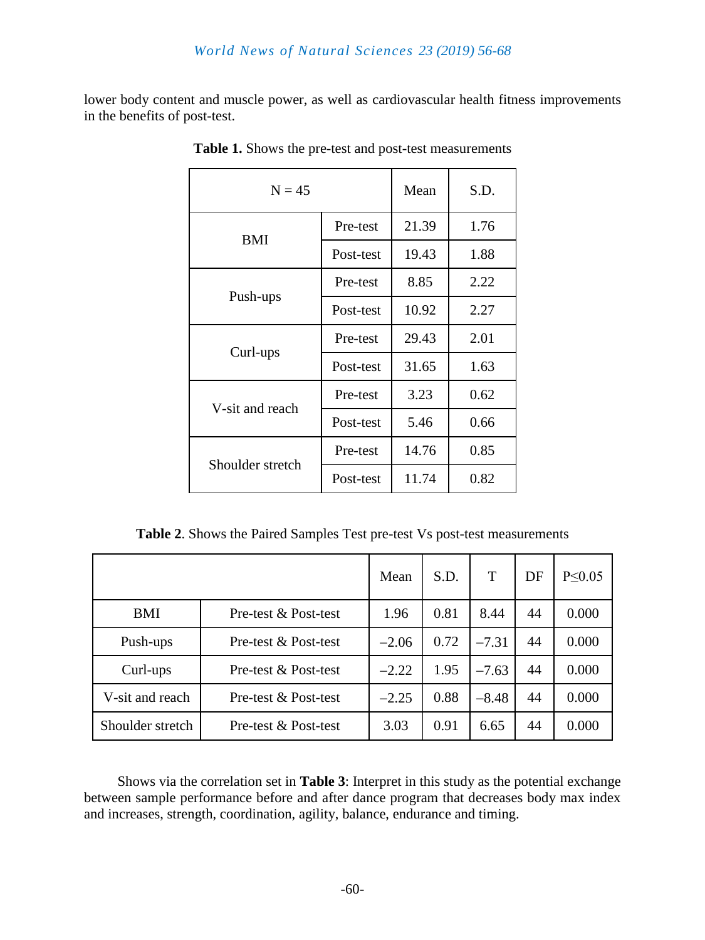lower body content and muscle power, as well as cardiovascular health fitness improvements in the benefits of post-test.

| $N = 45$         |           | Mean  | S.D. |  |
|------------------|-----------|-------|------|--|
| <b>BMI</b>       | Pre-test  | 21.39 | 1.76 |  |
|                  | Post-test | 19.43 | 1.88 |  |
| Push-ups         | Pre-test  | 8.85  | 2.22 |  |
|                  | Post-test | 10.92 | 2.27 |  |
| Curl-ups         | Pre-test  | 29.43 | 2.01 |  |
|                  | Post-test | 31.65 | 1.63 |  |
| V-sit and reach  | Pre-test  | 3.23  | 0.62 |  |
|                  | Post-test | 5.46  | 0.66 |  |
| Shoulder stretch | Pre-test  | 14.76 | 0.85 |  |
|                  | Post-test | 11.74 | 0.82 |  |

**Table 1.** Shows the pre-test and post-test measurements

**Table 2**. Shows the Paired Samples Test pre-test Vs post-test measurements

|                  |                      | Mean    | S.D. |         | DF | P < 0.05 |
|------------------|----------------------|---------|------|---------|----|----------|
| BMI              | Pre-test & Post-test | 1.96    | 0.81 | 8.44    | 44 | 0.000    |
| Push-ups         | Pre-test & Post-test | $-2.06$ | 0.72 | $-7.31$ | 44 | 0.000    |
| Curl-ups         | Pre-test & Post-test | $-2.22$ | 1.95 | $-7.63$ | 44 | 0.000    |
| V-sit and reach  | Pre-test & Post-test | $-2.25$ | 0.88 | $-8.48$ | 44 | 0.000    |
| Shoulder stretch | Pre-test & Post-test | 3.03    | 0.91 | 6.65    | 44 | 0.000    |

Shows via the correlation set in **Table 3**: Interpret in this study as the potential exchange between sample performance before and after dance program that decreases body max index and increases, strength, coordination, agility, balance, endurance and timing.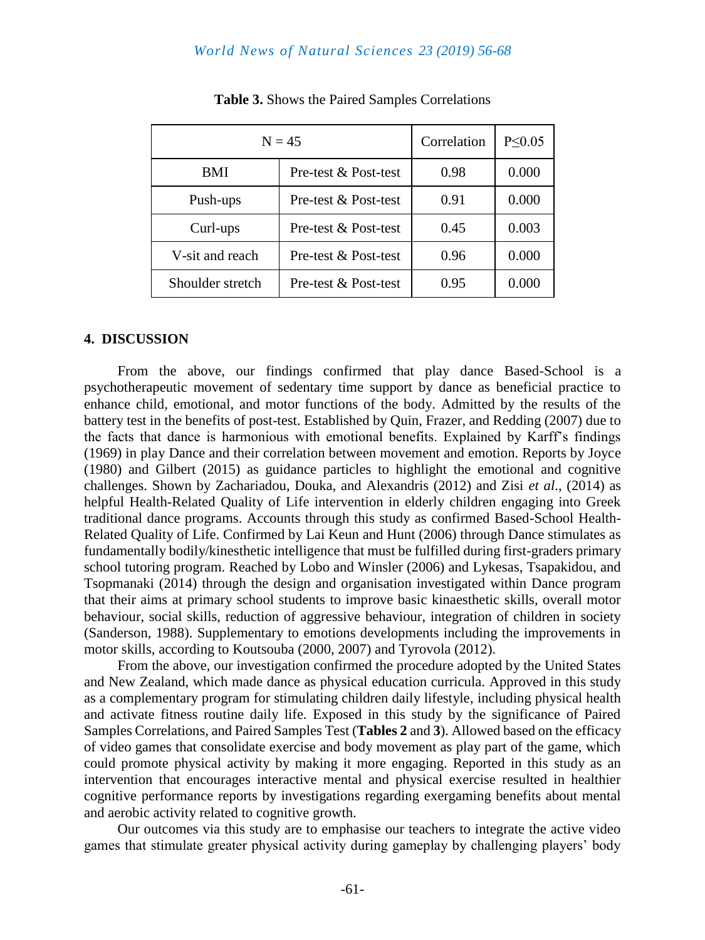#### *World News of Natural Sciences 23 (2019) 56-68*

| $N = 45$         |                      | Correlation | $P \leq 0.05$ |
|------------------|----------------------|-------------|---------------|
| <b>BMI</b>       | Pre-test & Post-test | 0.98        | 0.000         |
| Push-ups         | Pre-test & Post-test | 0.91        | 0.000         |
| Curl-ups         | Pre-test & Post-test | 0.45        | 0.003         |
| V-sit and reach  | Pre-test & Post-test | 0.96        | 0.000         |
| Shoulder stretch | Pre-test & Post-test | 0.95        | 0.000         |

**Table 3.** Shows the Paired Samples Correlations

#### **4. DISCUSSION**

From the above, our findings confirmed that play dance Based-School is a psychotherapeutic movement of sedentary time support by dance as beneficial practice to enhance child, emotional, and motor functions of the body. Admitted by the results of the battery test in the benefits of post-test. Established by Quin, Frazer, and Redding (2007) due to the facts that dance is harmonious with emotional benefits. Explained by Karff's findings (1969) in play Dance and their correlation between movement and emotion. Reports by Joyce (1980) and Gilbert (2015) as guidance particles to highlight the emotional and cognitive challenges. Shown by Zachariadou, Douka, and Alexandris (2012) and Zisi *et al*., (2014) as helpful Health-Related Quality of Life intervention in elderly children engaging into Greek traditional dance programs. Accounts through this study as confirmed Based-School Health-Related Quality of Life. Confirmed by Lai Keun and Hunt (2006) through Dance stimulates as fundamentally bodily/kinesthetic intelligence that must be fulfilled during first-graders primary school tutoring program. Reached by Lobo and Winsler (2006) and Lykesas, Tsapakidou, and Tsopmanaki (2014) through the design and organisation investigated within Dance program that their aims at primary school students to improve basic kinaesthetic skills, overall motor behaviour, social skills, reduction of aggressive behaviour, integration of children in society (Sanderson, 1988). Supplementary to emotions developments including the improvements in motor skills, according to Koutsouba (2000, 2007) and Tyrovola (2012).

From the above, our investigation confirmed the procedure adopted by the United States and New Zealand, which made dance as physical education curricula. Approved in this study as a complementary program for stimulating children daily lifestyle, including physical health and activate fitness routine daily life. Exposed in this study by the significance of Paired Samples Correlations, and Paired Samples Test (**Tables 2** and **3**). Allowed based on the efficacy of video games that consolidate exercise and body movement as play part of the game, which could promote physical activity by making it more engaging. Reported in this study as an intervention that encourages interactive mental and physical exercise resulted in healthier cognitive performance reports by investigations regarding exergaming benefits about mental and aerobic activity related to cognitive growth.

Our outcomes via this study are to emphasise our teachers to integrate the active video games that stimulate greater physical activity during gameplay by challenging players' body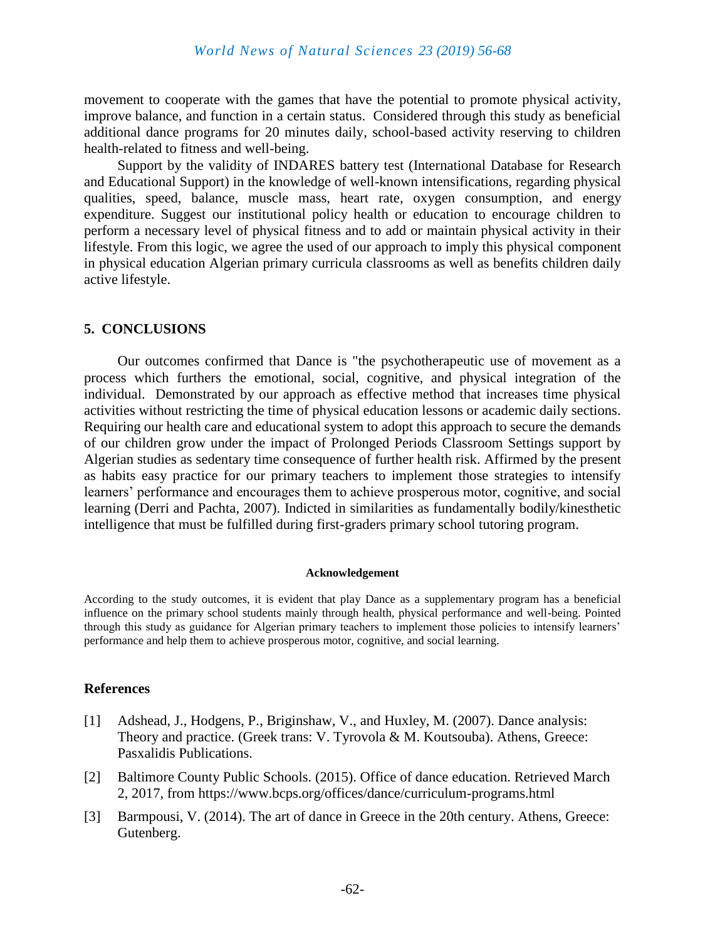movement to cooperate with the games that have the potential to promote physical activity, improve balance, and function in a certain status. Considered through this study as beneficial additional dance programs for 20 minutes daily, school-based activity reserving to children health-related to fitness and well-being.

Support by the validity of INDARES battery test (International Database for Research and Educational Support) in the knowledge of well-known intensifications, regarding physical qualities, speed, balance, muscle mass, heart rate, oxygen consumption, and energy expenditure. Suggest our institutional policy health or education to encourage children to perform a necessary level of physical fitness and to add or maintain physical activity in their lifestyle. From this logic, we agree the used of our approach to imply this physical component in physical education Algerian primary curricula classrooms as well as benefits children daily active lifestyle.

#### **5. CONCLUSIONS**

Our outcomes confirmed that Dance is "the psychotherapeutic use of movement as a process which furthers the emotional, social, cognitive, and physical integration of the individual. Demonstrated by our approach as effective method that increases time physical activities without restricting the time of physical education lessons or academic daily sections. Requiring our health care and educational system to adopt this approach to secure the demands of our children grow under the impact of Prolonged Periods Classroom Settings support by Algerian studies as sedentary time consequence of further health risk. Affirmed by the present as habits easy practice for our primary teachers to implement those strategies to intensify learners' performance and encourages them to achieve prosperous motor, cognitive, and social learning (Derri and Pachta, 2007). Indicted in similarities as fundamentally bodily/kinesthetic intelligence that must be fulfilled during first-graders primary school tutoring program.

#### **Acknowledgement**

According to the study outcomes, it is evident that play Dance as a supplementary program has a beneficial influence on the primary school students mainly through health, physical performance and well-being. Pointed through this study as guidance for Algerian primary teachers to implement those policies to intensify learners' performance and help them to achieve prosperous motor, cognitive, and social learning.

#### **References**

- [1] Adshead, J., Hodgens, P., Briginshaw, V., and Huxley, M. (2007). Dance analysis: Theory and practice. (Greek trans: V. Tyrovola & M. Koutsouba). Athens, Greece: Pasxalidis Publications.
- [2] Baltimore County Public Schools. (2015). Office of dance education. Retrieved March 2, 2017, from https://www.bcps.org/offices/dance/curriculum-programs.html
- [3] Barmpousi, V. (2014). The art of dance in Greece in the 20th century. Athens, Greece: Gutenberg.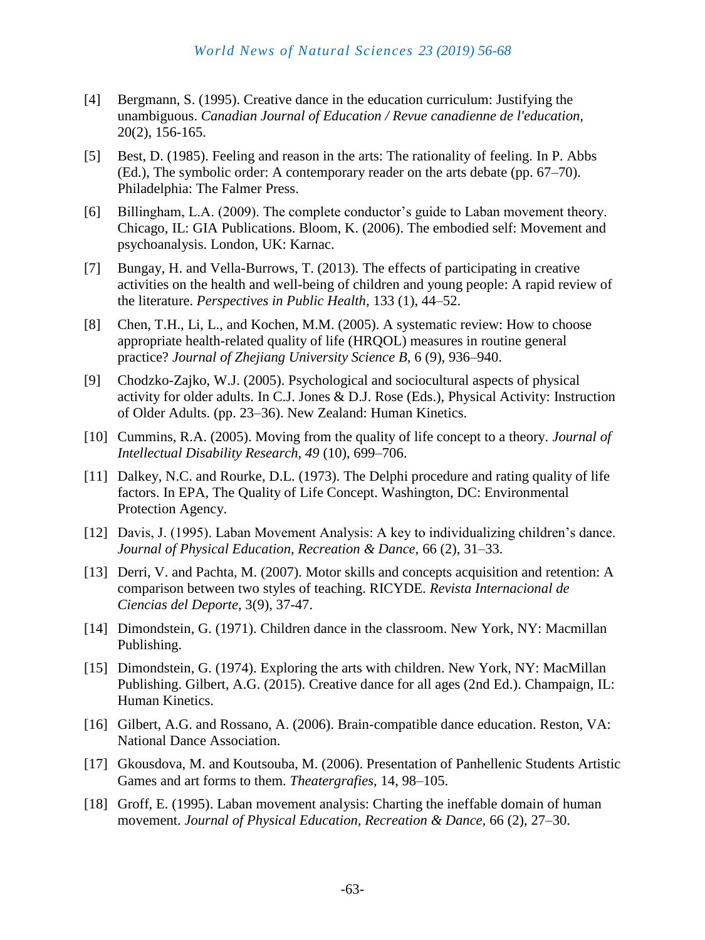- [4] Bergmann, S. (1995). Creative dance in the education curriculum: Justifying the unambiguous. *Canadian Journal of Education / Revue canadienne de l'education,* 20(2), 156-165.
- [5] Best, D. (1985). Feeling and reason in the arts: The rationality of feeling. In P. Abbs (Ed.), The symbolic order: A contemporary reader on the arts debate (pp. 67–70). Philadelphia: The Falmer Press.
- [6] Billingham, L.A. (2009). The complete conductor's guide to Laban movement theory. Chicago, IL: GIA Publications. Bloom, K. (2006). The embodied self: Movement and psychoanalysis. London, UK: Karnac.
- [7] Bungay, H. and Vella-Burrows, T. (2013). The effects of participating in creative activities on the health and well-being of children and young people: A rapid review of the literature. *Perspectives in Public Health,* 133 (1), 44–52.
- [8] Chen, T.H., Li, L., and Kochen, M.M. (2005). A systematic review: How to choose appropriate health-related quality of life (HRQOL) measures in routine general practice? *Journal of Zhejiang University Science B,* 6 (9), 936–940.
- [9] Chodzko-Zajko, W.J. (2005). Psychological and sociocultural aspects of physical activity for older adults. In C.J. Jones & D.J. Rose (Eds.), Physical Activity: Instruction of Older Adults. (pp. 23–36). New Zealand: Human Kinetics.
- [10] Cummins, R.A. (2005). Moving from the quality of life concept to a theory. *Journal of Intellectual Disability Research, 49* (10), 699–706.
- [11] Dalkey, N.C. and Rourke, D.L. (1973). The Delphi procedure and rating quality of life factors. In EPA, The Quality of Life Concept. Washington, DC: Environmental Protection Agency.
- [12] Davis, J. (1995). Laban Movement Analysis: A key to individualizing children's dance. *Journal of Physical Education, Recreation & Dance,* 66 (2), 31–33.
- [13] Derri, V. and Pachta, M. (2007). Motor skills and concepts acquisition and retention: A comparison between two styles of teaching. RICYDE. *Revista Internacional de Ciencias del Deporte*, 3(9), 37-47.
- [14] Dimondstein, G. (1971). Children dance in the classroom. New York, NY: Macmillan Publishing.
- [15] Dimondstein, G. (1974). Exploring the arts with children. New York, NY: MacMillan Publishing. Gilbert, A.G. (2015). Creative dance for all ages (2nd Ed.). Champaign, IL: Human Kinetics.
- [16] Gilbert, A.G. and Rossano, A. (2006). Brain-compatible dance education. Reston, VA: National Dance Association.
- [17] Gkousdova, M. and Koutsouba, M. (2006). Presentation of Panhellenic Students Artistic Games and art forms to them. *Theatergrafies,* 14, 98–105.
- [18] Groff, E. (1995). Laban movement analysis: Charting the ineffable domain of human movement. *Journal of Physical Education, Recreation & Dance,* 66 (2), 27–30.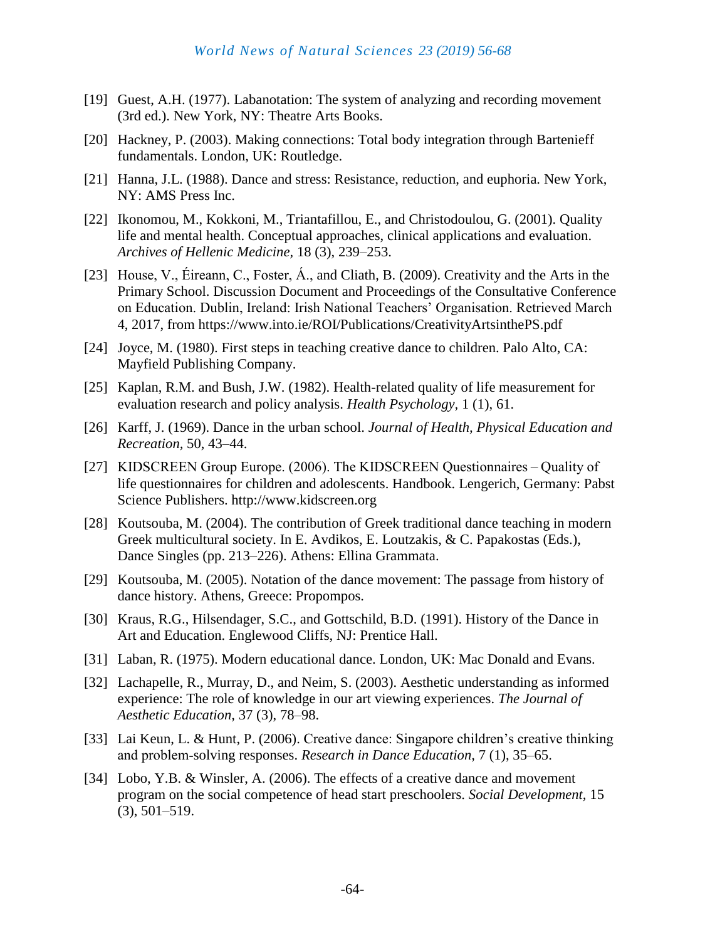- [19] Guest, A.H. (1977). Labanotation: The system of analyzing and recording movement (3rd ed.). New York, NY: Theatre Arts Books.
- [20] Hackney, P. (2003). Making connections: Total body integration through Bartenieff fundamentals. London, UK: Routledge.
- [21] Hanna, J.L. (1988). Dance and stress: Resistance, reduction, and euphoria. New York, NY: AMS Press Inc.
- [22] Ikonomou, M., Kokkoni, M., Triantafillou, E., and Christodoulou, G. (2001). Quality life and mental health. Conceptual approaches, clinical applications and evaluation. *Archives of Hellenic Medicine,* 18 (3), 239–253.
- [23] House, V., Éireann, C., Foster, Á., and Cliath, B. (2009). Creativity and the Arts in the Primary School. Discussion Document and Proceedings of the Consultative Conference on Education. Dublin, Ireland: Irish National Teachers' Organisation. Retrieved March 4, 2017, from https://www.into.ie/ROI/Publications/CreativityArtsinthePS.pdf
- [24] Joyce, M. (1980). First steps in teaching creative dance to children. Palo Alto, CA: Mayfield Publishing Company.
- [25] Kaplan, R.M. and Bush, J.W. (1982). Health-related quality of life measurement for evaluation research and policy analysis. *Health Psychology,* 1 (1), 61.
- [26] Karff, J. (1969). Dance in the urban school. *Journal of Health, Physical Education and Recreation,* 50, 43–44.
- [27] KIDSCREEN Group Europe. (2006). The KIDSCREEN Questionnaires – Quality of life questionnaires for children and adolescents. Handbook. Lengerich, Germany: Pabst Science Publishers. http://www.kidscreen.org
- [28] Koutsouba, M. (2004). The contribution of Greek traditional dance teaching in modern Greek multicultural society. In E. Avdikos, E. Loutzakis, & C. Papakostas (Eds.), Dance Singles (pp. 213–226). Athens: Ellina Grammata.
- [29] Koutsouba, M. (2005). Notation of the dance movement: The passage from history of dance history. Athens, Greece: Propompos.
- [30] Kraus, R.G., Hilsendager, S.C., and Gottschild, B.D. (1991). History of the Dance in Art and Education. Englewood Cliffs, NJ: Prentice Hall.
- [31] Laban, R. (1975). Modern educational dance. London, UK: Mac Donald and Evans.
- [32] Lachapelle, R., Murray, D., and Neim, S. (2003). Aesthetic understanding as informed experience: The role of knowledge in our art viewing experiences. *The Journal of Aesthetic Education,* 37 (3), 78–98.
- [33] Lai Keun, L. & Hunt, P. (2006). Creative dance: Singapore children's creative thinking and problem‐solving responses. *Research in Dance Education,* 7 (1), 35–65.
- [34] Lobo, Y.B. & Winsler, A. (2006). The effects of a creative dance and movement program on the social competence of head start preschoolers. *Social Development,* 15 (3), 501–519.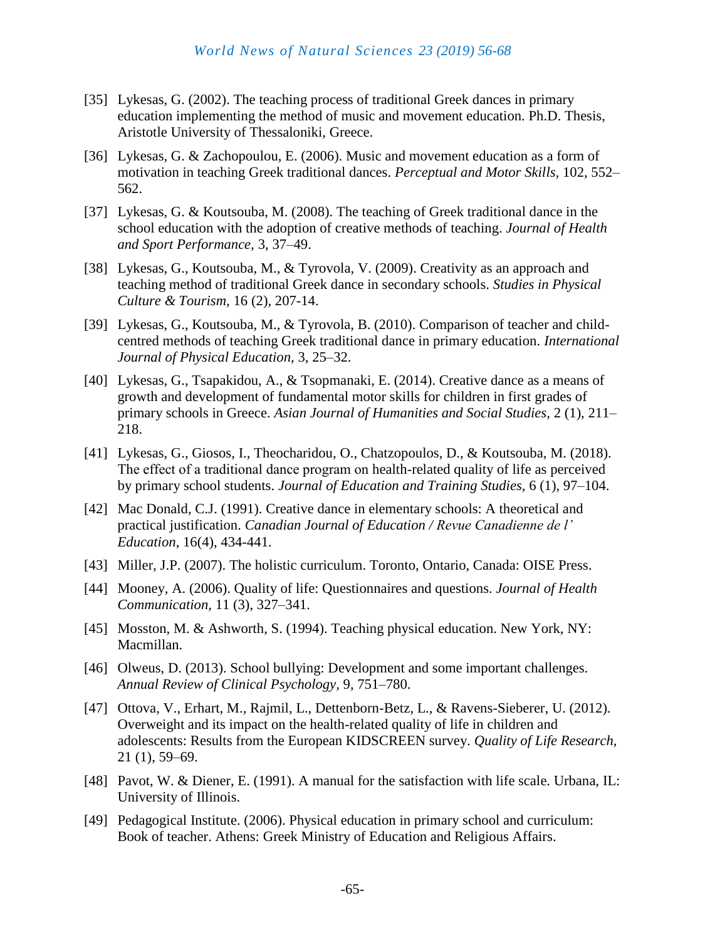- [35] Lykesas, G. (2002). The teaching process of traditional Greek dances in primary education implementing the method of music and movement education. Ph.D. Thesis, Aristotle University of Thessaloniki, Greece.
- [36] Lykesas, G. & Zachopoulou, E. (2006). Music and movement education as a form of motivation in teaching Greek traditional dances. *Perceptual and Motor Skills,* 102, 552– 562.
- [37] Lykesas, G. & Koutsouba, M. (2008). The teaching of Greek traditional dance in the school education with the adoption of creative methods of teaching. *Journal of Health and Sport Performance,* 3, 37–49.
- [38] Lykesas, G., Koutsouba, M., & Tyrovola, V. (2009). Creativity as an approach and teaching method of traditional Greek dance in secondary schools. *Studies in Physical Culture & Tourism,* 16 (2), 207-14.
- [39] Lykesas, G., Koutsouba, M., & Tyrovola, B. (2010). Comparison of teacher and childcentred methods of teaching Greek traditional dance in primary education. *International Journal of Physical Education,* 3, 25–32.
- [40] Lykesas, G., Tsapakidou, A., & Tsopmanaki, E. (2014). Creative dance as a means of growth and development of fundamental motor skills for children in first grades of primary schools in Greece. *Asian Journal of Humanities and Social Studies,* 2 (1), 211– 218.
- [41] Lykesas, G., Giosos, I., Theocharidou, O., Chatzopoulos, D., & Koutsouba, M. (2018). Τhe effect of a traditional dance program on health-related quality of life as perceived by primary school students. *Journal of Education and Training Studies,* 6 (1), 97–104.
- [42] Mac Donald, C.J. (1991). Creative dance in elementary schools: A theoretical and practical justification. *Canadian Journal of Education / Revue Canadienne de l' Education*, 16(4), 434-441.
- [43] Miller, J.P. (2007). The holistic curriculum. Toronto, Ontario, Canada: OISE Press.
- [44] Mooney, A. (2006). Quality of life: Questionnaires and questions. *Journal of Health Communication,* 11 (3), 327–341.
- [45] Mosston, M. & Ashworth, S. (1994). Teaching physical education. New York, NY: Macmillan.
- [46] Olweus, D. (2013). School bullying: Development and some important challenges. *Annual Review of Clinical Psychology,* 9, 751–780.
- [47] Ottova, V., Erhart, M., Rajmil, L., Dettenborn-Betz, L., & Ravens-Sieberer, U. (2012). Overweight and its impact on the health-related quality of life in children and adolescents: Results from the European KIDSCREEN survey. *Quality of Life Research,* 21 (1), 59–69.
- [48] Pavot, W. & Diener, E. (1991). A manual for the satisfaction with life scale. Urbana, IL: University of Illinois.
- [49] Pedagogical Institute. (2006). Physical education in primary school and curriculum: Book of teacher. Athens: Greek Ministry of Education and Religious Affairs.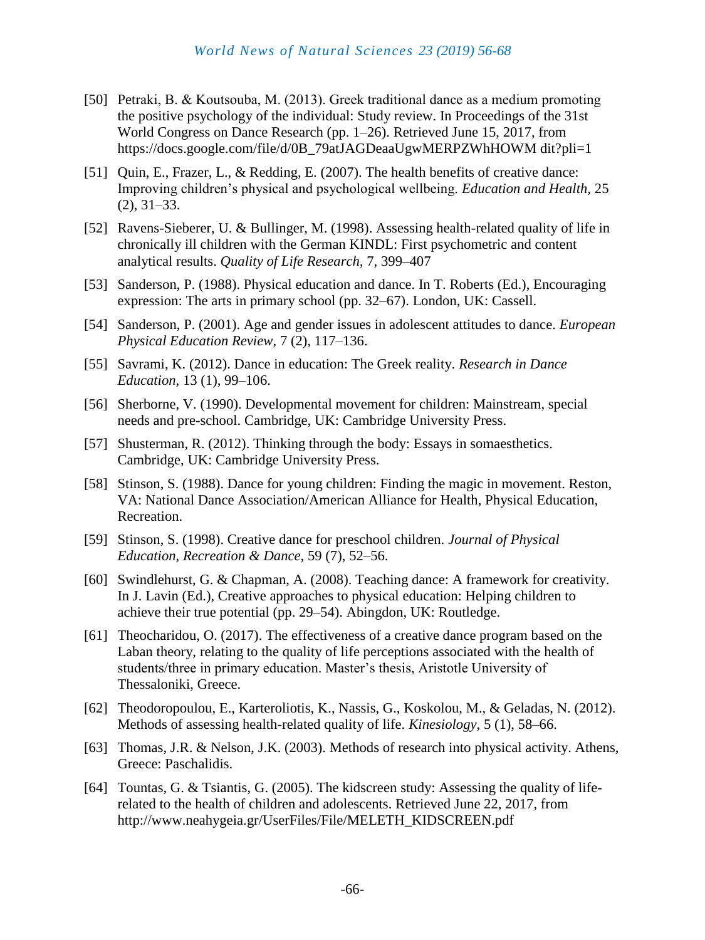- [50] Petraki, Β. & Koutsouba, Μ. (2013). Greek traditional dance as a medium promoting the positive psychology of the individual: Study review. In Proceedings of the 31st World Congress on Dance Research (pp. 1–26). Retrieved June 15, 2017, from https://docs.google.com/file/d/0B\_79atJAGDeaaUgwMERPZWhHOWM dit?pli=1
- [51] Quin, E., Frazer, L., & Redding, E. (2007). The health benefits of creative dance: Improving children's physical and psychological wellbeing. *Education and Health,* 25 (2), 31–33.
- [52] Ravens-Sieberer, U. & Bullinger, M. (1998). Assessing health-related quality of life in chronically ill children with the German KINDL: First psychometric and content analytical results. *Quality of Life Research,* 7, 399–407
- [53] Sanderson, P. (1988). Physical education and dance. In T. Roberts (Ed.), Encouraging expression: The arts in primary school (pp. 32–67). London, UK: Cassell.
- [54] Sanderson, P. (2001). Age and gender issues in adolescent attitudes to dance. *European Physical Education Review,* 7 (2), 117–136.
- [55] Savrami, K. (2012). Dance in education: The Greek reality. *Research in Dance Education,* 13 (1), 99–106.
- [56] Sherborne, V. (1990). Developmental movement for children: Mainstream, special needs and pre-school. Cambridge, UK: Cambridge University Press.
- [57] Shusterman, R. (2012). Thinking through the body: Essays in somaesthetics. Cambridge, UK: Cambridge University Press.
- [58] Stinson, S. (1988). Dance for young children: Finding the magic in movement. Reston, VA: National Dance Association/American Alliance for Health, Physical Education, Recreation.
- [59] Stinson, S. (1998). Creative dance for preschool children. *Journal of Physical Education, Recreation & Dance,* 59 (7), 52–56.
- [60] Swindlehurst, G. & Chapman, A. (2008). Teaching dance: A framework for creativity. In J. Lavin (Ed.), Creative approaches to physical education: Helping children to achieve their true potential (pp. 29–54). Abingdon, UK: Routledge.
- [61] Theocharidou, O. (2017). The effectiveness of a creative dance program based on the Laban theory, relating to the quality of life perceptions associated with the health of students/three in primary education. Master's thesis, Aristotle University of Thessaloniki, Greece.
- [62] Theodoropoulou, E., Karteroliotis, K., Nassis, G., Koskolou, M., & Geladas, N. (2012). Methods of assessing health-related quality of life. *Kinesiology,* 5 (1), 58–66.
- [63] Thomas, J.R. & Nelson, J.K. (2003). Methods of research into physical activity. Athens, Greece: Paschalidis.
- [64] Tountas, G. & Tsiantis, G. (2005). The kidscreen study: Assessing the quality of liferelated to the health of children and adolescents. Retrieved June 22, 2017, from http://www.neahygeia.gr/UserFiles/File/MELETH\_KIDSCREEN.pdf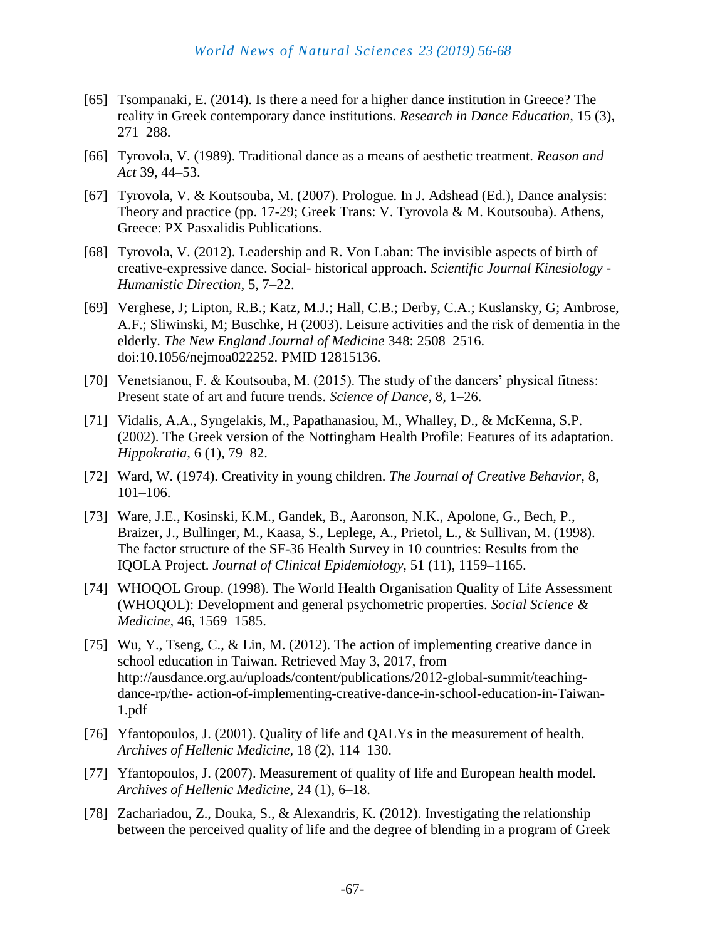- [65] Tsompanaki, E. (2014). Is there a need for a higher dance institution in Greece? The reality in Greek contemporary dance institutions. *Research in Dance Education,* 15 (3), 271–288.
- [66] Tyrovola, V. (1989). Traditional dance as a means of aesthetic treatment. *Reason and Act* 39, 44–53.
- [67] Tyrovola, V. & Koutsouba, M. (2007). Prologue. In J. Adshead (Ed.), Dance analysis: Theory and practice (pp. 17-29; Greek Trans: V. Tyrovola & M. Koutsouba). Athens, Greece: PX Pasxalidis Publications.
- [68] Tyrovola, V. (2012). Leadership and R. Von Laban: The invisible aspects of birth of creative-expressive dance. Social- historical approach. *Scientific Journal Kinesiology - Humanistic Direction,* 5, 7–22.
- [69] Verghese, J; Lipton, R.B.; Katz, M.J.; Hall, C.B.; Derby, C.A.; Kuslansky, G; Ambrose, A.F.; Sliwinski, M; Buschke, H (2003). Leisure activities and the risk of dementia in the elderly. *The New England Journal of Medicine* 348: 2508–2516. doi:10.1056/nejmoa022252. PMID 12815136.
- [70] Venetsianou, F. & Koutsouba, M. (2015). The study of the dancers' physical fitness: Present state of art and future trends. *Science of Dance,* 8, 1–26.
- [71] Vidalis, A.A., Syngelakis, M., Papathanasiou, M., Whalley, D., & McKenna, S.P. (2002). The Greek version of the Nottingham Health Profile: Features of its adaptation. *Hippokratia,* 6 (1), 79–82.
- [72] Ward, W. (1974). Creativity in young children. *The Journal of Creative Behavior,* 8, 101–106.
- [73] Ware, J.E., Kosinski, K.M., Gandek, B., Aaronson, N.K., Apolone, G., Bech, P., Braizer, J., Bullinger, M., Kaasa, S., Leplege, A., Prietol, L., & Sullivan, M. (1998). The factor structure of the SF-36 Health Survey in 10 countries: Results from the IQOLA Project. *Journal of Clinical Epidemiology,* 51 (11), 1159–1165.
- [74] WHOQOL Group. (1998). The World Health Organisation Quality of Life Assessment (WHOQOL): Development and general psychometric properties. *Social Science & Medicine,* 46, 1569–1585.
- [75] Wu, Y., Tseng, C., & Lin, M. (2012). The action of implementing creative dance in school education in Taiwan. Retrieved May 3, 2017, from http://ausdance.org.au/uploads/content/publications/2012-global-summit/teachingdance-rp/the- action-of-implementing-creative-dance-in-school-education-in-Taiwan-1.pdf
- [76] Yfantopoulos, J. (2001). Quality of life and QALYs in the measurement of health. *Archives of Hellenic Medicine,* 18 (2), 114–130.
- [77] Yfantopoulos, J. (2007). Measurement of quality of life and European health model. *Archives of Hellenic Medicine,* 24 (1), 6–18.
- [78] Zachariadou, Z., Douka, S., & Alexandris, K. (2012). Investigating the relationship between the perceived quality of life and the degree of blending in a program of Greek